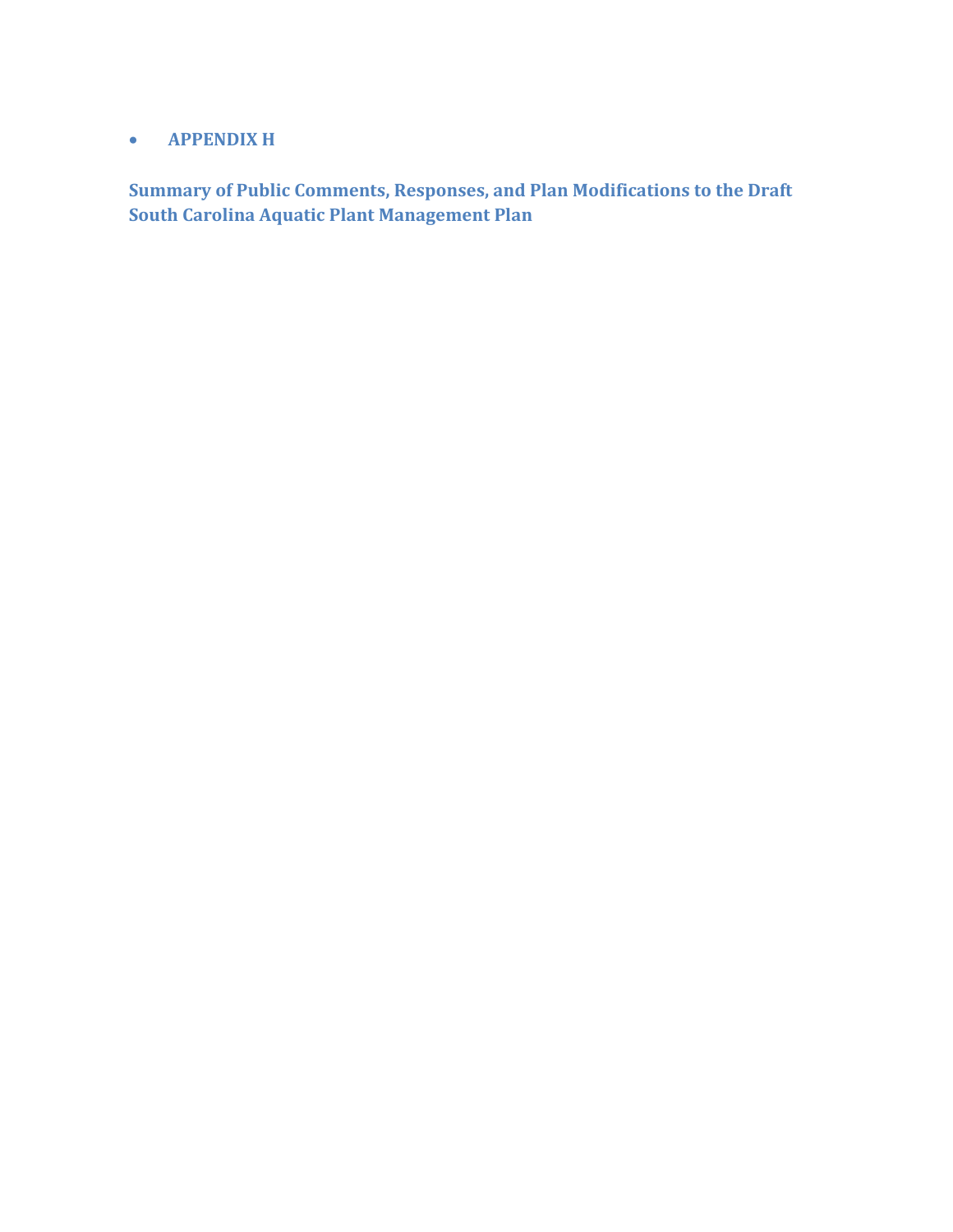## • **APPENDIX H**

**Summary of Public Comments, Responses, and Plan Modifications to the Draft South Carolina Aquatic Plant Management Plan**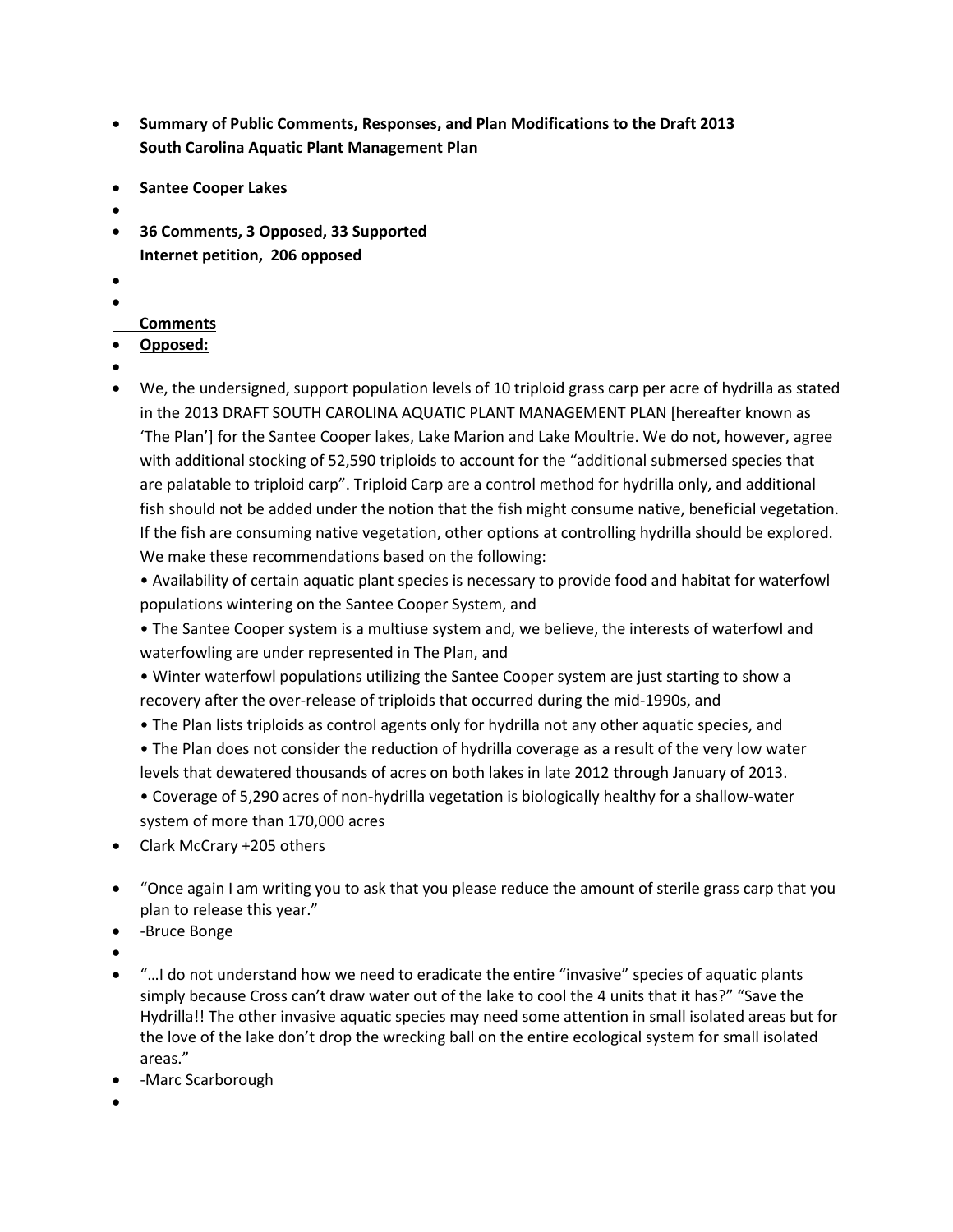- **Summary of Public Comments, Responses, and Plan Modifications to the Draft 2013 South Carolina Aquatic Plant Management Plan**
- **Santee Cooper Lakes**
- •
- **36 Comments, 3 Opposed, 33 Supported Internet petition, 206 opposed**
- •
- •

## **Comments**

## • **Opposed:**

- •
- We, the undersigned, support population levels of 10 triploid grass carp per acre of hydrilla as stated in the 2013 DRAFT SOUTH CAROLINA AQUATIC PLANT MANAGEMENT PLAN [hereafter known as 'The Plan'] for the Santee Cooper lakes, Lake Marion and Lake Moultrie. We do not, however, agree with additional stocking of 52,590 triploids to account for the "additional submersed species that are palatable to triploid carp". Triploid Carp are a control method for hydrilla only, and additional fish should not be added under the notion that the fish might consume native, beneficial vegetation. If the fish are consuming native vegetation, other options at controlling hydrilla should be explored. We make these recommendations based on the following:

• Availability of certain aquatic plant species is necessary to provide food and habitat for waterfowl populations wintering on the Santee Cooper System, and

• The Santee Cooper system is a multiuse system and, we believe, the interests of waterfowl and waterfowling are under represented in The Plan, and

• Winter waterfowl populations utilizing the Santee Cooper system are just starting to show a recovery after the over-release of triploids that occurred during the mid-1990s, and

• The Plan lists triploids as control agents only for hydrilla not any other aquatic species, and

• The Plan does not consider the reduction of hydrilla coverage as a result of the very low water levels that dewatered thousands of acres on both lakes in late 2012 through January of 2013.

• Coverage of 5,290 acres of non-hydrilla vegetation is biologically healthy for a shallow-water system of more than 170,000 acres

- Clark McCrary +205 others
- "Once again I am writing you to ask that you please reduce the amount of sterile grass carp that you plan to release this year."
- -Bruce Bonge
- •
- "…I do not understand how we need to eradicate the entire "invasive" species of aquatic plants simply because Cross can't draw water out of the lake to cool the 4 units that it has?" "Save the Hydrilla!! The other invasive aquatic species may need some attention in small isolated areas but for the love of the lake don't drop the wrecking ball on the entire ecological system for small isolated areas."
- -Marc Scarborough
- •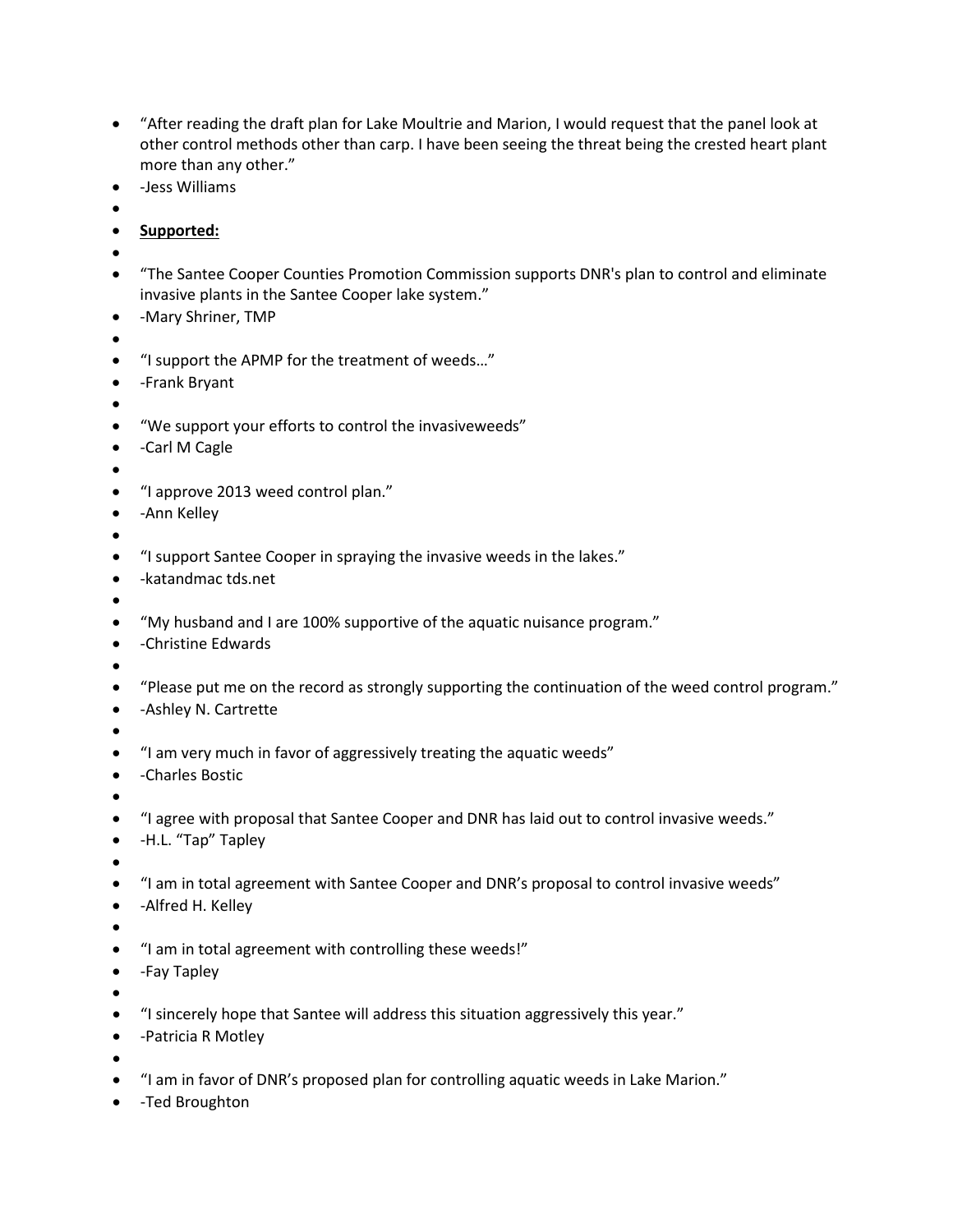- "After reading the draft plan for Lake Moultrie and Marion, I would request that the panel look at other control methods other than carp. I have been seeing the threat being the crested heart plant more than any other."
- -Jess Williams
- •
- **Supported:**
- •
- "The Santee Cooper Counties Promotion Commission supports DNR's plan to control and eliminate invasive plants in the Santee Cooper lake system."
- -Mary Shriner, TMP
- •
- "I support the APMP for the treatment of weeds…"
- -Frank Bryant
- •
- "We support your efforts to control the invasiveweeds"
- -Carl M Cagle
- •
- "I approve 2013 weed control plan."
- -Ann Kelley
- •
- "I support Santee Cooper in spraying the invasive weeds in the lakes."
- -katandmac tds.net
- •
- "My husband and I are 100% supportive of the aquatic nuisance program."
- -Christine Edwards
- •
- "Please put me on the record as strongly supporting the continuation of the weed control program."
- -Ashley N. Cartrette
- •
- "I am very much in favor of aggressively treating the aquatic weeds"
- -Charles Bostic
- •
- "I agree with proposal that Santee Cooper and DNR has laid out to control invasive weeds."
- -H.L. "Tap" Tapley
- •
- "I am in total agreement with Santee Cooper and DNR's proposal to control invasive weeds"
- -Alfred H. Kelley
- •
- "I am in total agreement with controlling these weeds!"
- -Fay Tapley
- •
- "I sincerely hope that Santee will address this situation aggressively this year."
- -Patricia R Motley
- •
- "I am in favor of DNR's proposed plan for controlling aquatic weeds in Lake Marion."
- -Ted Broughton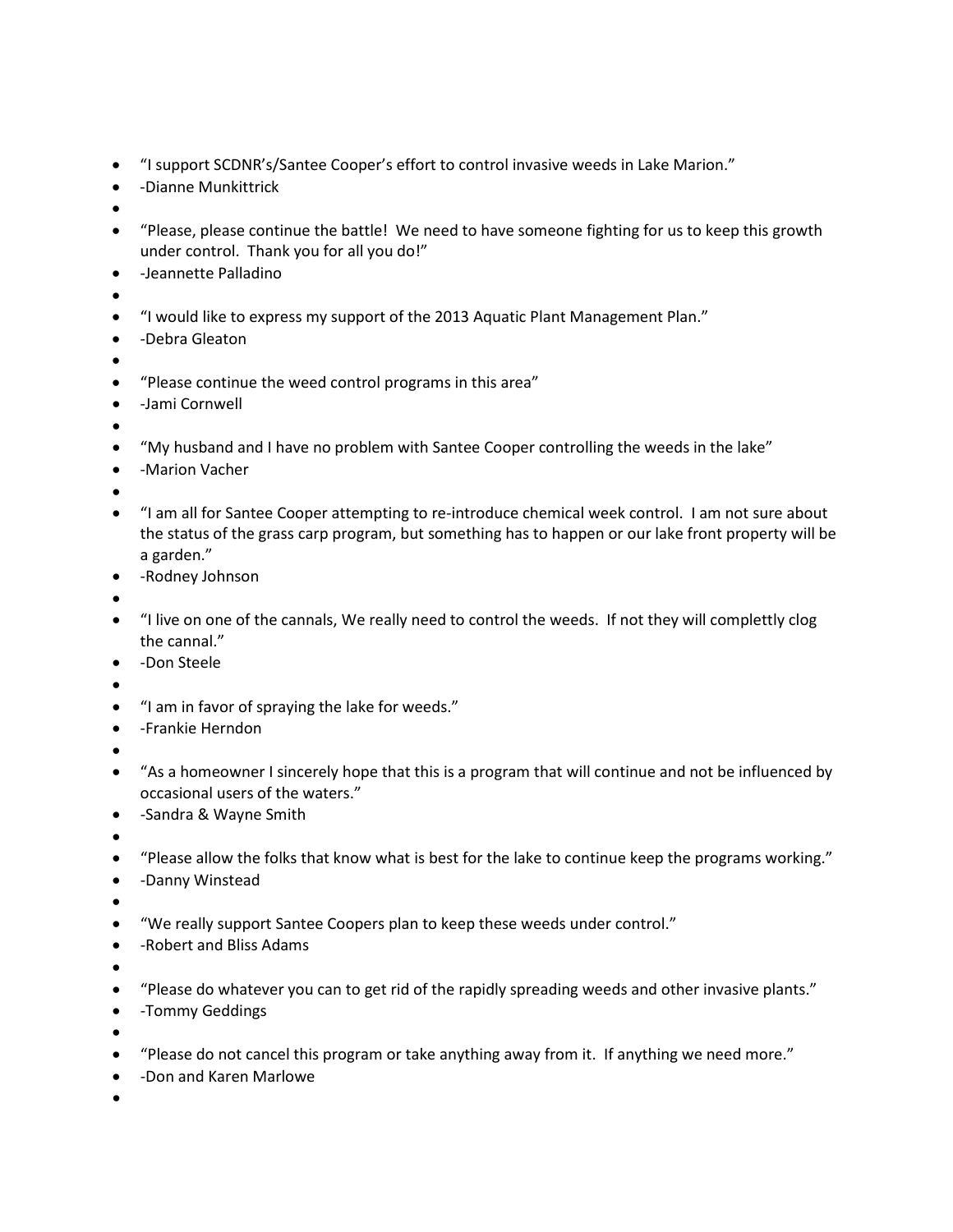- "I support SCDNR's/Santee Cooper's effort to control invasive weeds in Lake Marion."
- -Dianne Munkittrick
- •
- "Please, please continue the battle! We need to have someone fighting for us to keep this growth under control. Thank you for all you do!"
- -Jeannette Palladino
- •
- "I would like to express my support of the 2013 Aquatic Plant Management Plan."
- -Debra Gleaton
- •
- "Please continue the weed control programs in this area"
- -Jami Cornwell
- •
- "My husband and I have no problem with Santee Cooper controlling the weeds in the lake"
- -Marion Vacher
- •
- "I am all for Santee Cooper attempting to re-introduce chemical week control. I am not sure about the status of the grass carp program, but something has to happen or our lake front property will be a garden."
- -Rodney Johnson
- •
- "I live on one of the cannals, We really need to control the weeds. If not they will complettly clog the cannal."
- -Don Steele
- •
- "I am in favor of spraying the lake for weeds."
- -Frankie Herndon
- •
- "As a homeowner I sincerely hope that this is a program that will continue and not be influenced by occasional users of the waters."
- -Sandra & Wayne Smith
- •
- "Please allow the folks that know what is best for the lake to continue keep the programs working."
- -Danny Winstead
- •
- "We really support Santee Coopers plan to keep these weeds under control."
- -Robert and Bliss Adams
- •
- "Please do whatever you can to get rid of the rapidly spreading weeds and other invasive plants."
- -Tommy Geddings
- •
- "Please do not cancel this program or take anything away from it. If anything we need more."
- -Don and Karen Marlowe
- •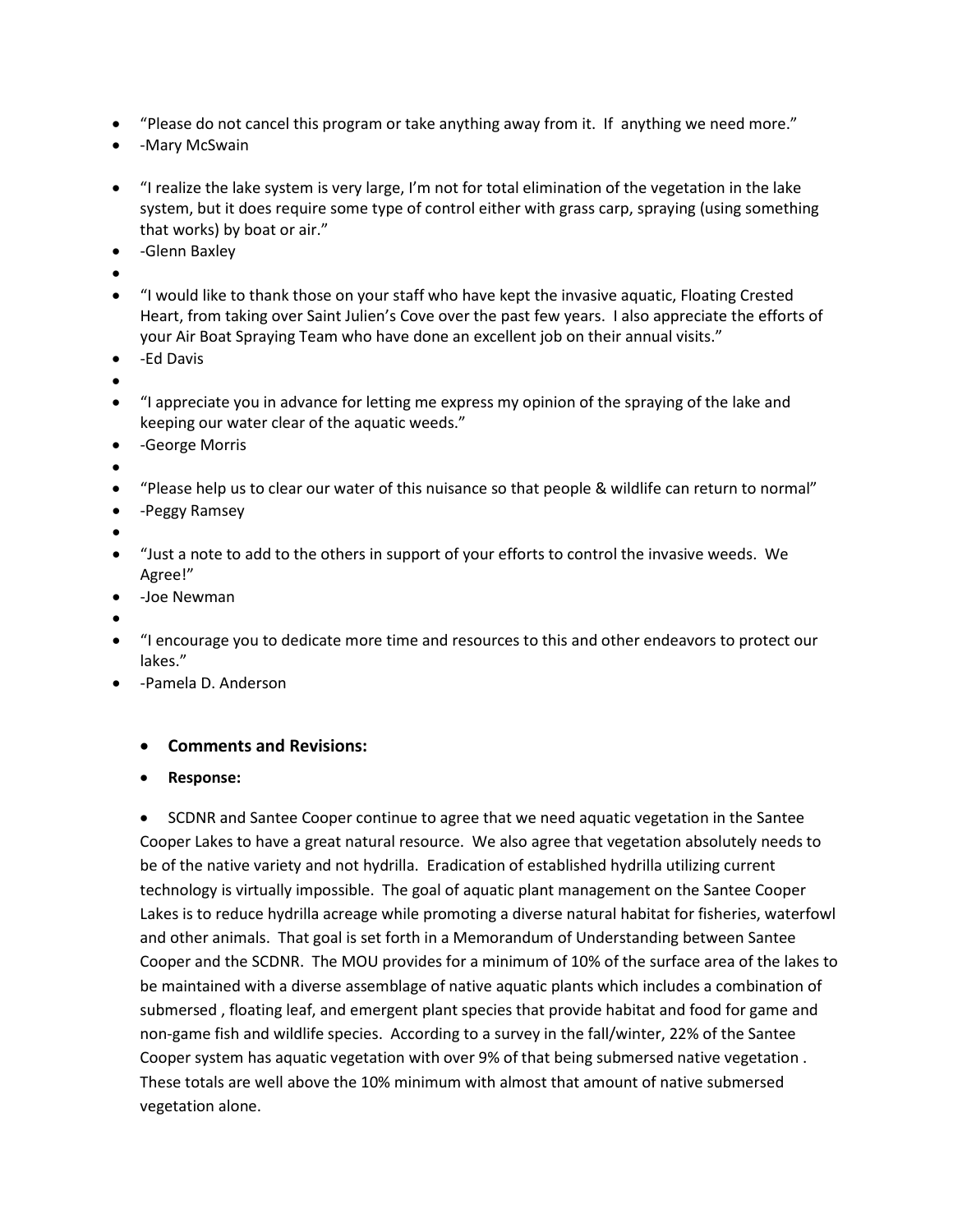- "Please do not cancel this program or take anything away from it. If anything we need more."
- -Mary McSwain
- "I realize the lake system is very large, I'm not for total elimination of the vegetation in the lake system, but it does require some type of control either with grass carp, spraying (using something that works) by boat or air."
- -Glenn Baxley
- •
- "I would like to thank those on your staff who have kept the invasive aquatic, Floating Crested Heart, from taking over Saint Julien's Cove over the past few years. I also appreciate the efforts of your Air Boat Spraying Team who have done an excellent job on their annual visits."
- -Ed Davis
- •
- "I appreciate you in advance for letting me express my opinion of the spraying of the lake and keeping our water clear of the aquatic weeds."
- -George Morris
- •
- "Please help us to clear our water of this nuisance so that people & wildlife can return to normal"
- -Peggy Ramsey
- •
- "Just a note to add to the others in support of your efforts to control the invasive weeds. We Agree!"
- -Joe Newman
- •
- "I encourage you to dedicate more time and resources to this and other endeavors to protect our lakes."
- -Pamela D. Anderson

## • **Comments and Revisions:**

• **Response:** 

• SCDNR and Santee Cooper continue to agree that we need aquatic vegetation in the Santee Cooper Lakes to have a great natural resource. We also agree that vegetation absolutely needs to be of the native variety and not hydrilla. Eradication of established hydrilla utilizing current technology is virtually impossible. The goal of aquatic plant management on the Santee Cooper Lakes is to reduce hydrilla acreage while promoting a diverse natural habitat for fisheries, waterfowl and other animals. That goal is set forth in a Memorandum of Understanding between Santee Cooper and the SCDNR. The MOU provides for a minimum of 10% of the surface area of the lakes to be maintained with a diverse assemblage of native aquatic plants which includes a combination of submersed , floating leaf, and emergent plant species that provide habitat and food for game and non-game fish and wildlife species. According to a survey in the fall/winter, 22% of the Santee Cooper system has aquatic vegetation with over 9% of that being submersed native vegetation . These totals are well above the 10% minimum with almost that amount of native submersed vegetation alone.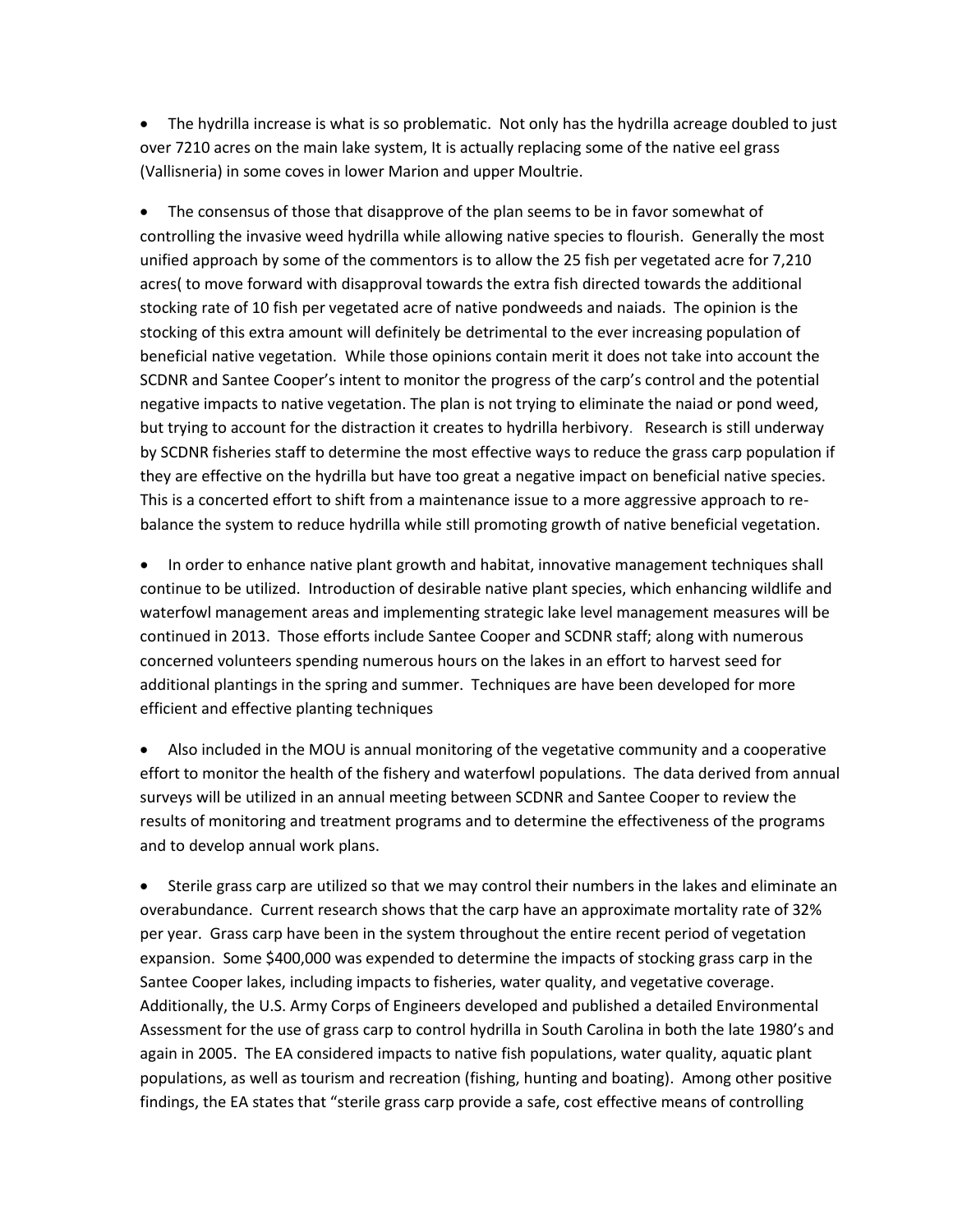• The hydrilla increase is what is so problematic. Not only has the hydrilla acreage doubled to just over 7210 acres on the main lake system, It is actually replacing some of the native eel grass (Vallisneria) in some coves in lower Marion and upper Moultrie.

• The consensus of those that disapprove of the plan seems to be in favor somewhat of controlling the invasive weed hydrilla while allowing native species to flourish. Generally the most unified approach by some of the commentors is to allow the 25 fish per vegetated acre for 7,210 acres( to move forward with disapproval towards the extra fish directed towards the additional stocking rate of 10 fish per vegetated acre of native pondweeds and naiads. The opinion is the stocking of this extra amount will definitely be detrimental to the ever increasing population of beneficial native vegetation. While those opinions contain merit it does not take into account the SCDNR and Santee Cooper's intent to monitor the progress of the carp's control and the potential negative impacts to native vegetation. The plan is not trying to eliminate the naiad or pond weed, but trying to account for the distraction it creates to hydrilla herbivory. Research is still underway by SCDNR fisheries staff to determine the most effective ways to reduce the grass carp population if they are effective on the hydrilla but have too great a negative impact on beneficial native species. This is a concerted effort to shift from a maintenance issue to a more aggressive approach to rebalance the system to reduce hydrilla while still promoting growth of native beneficial vegetation.

• In order to enhance native plant growth and habitat, innovative management techniques shall continue to be utilized. Introduction of desirable native plant species, which enhancing wildlife and waterfowl management areas and implementing strategic lake level management measures will be continued in 2013. Those efforts include Santee Cooper and SCDNR staff; along with numerous concerned volunteers spending numerous hours on the lakes in an effort to harvest seed for additional plantings in the spring and summer. Techniques are have been developed for more efficient and effective planting techniques

• Also included in the MOU is annual monitoring of the vegetative community and a cooperative effort to monitor the health of the fishery and waterfowl populations. The data derived from annual surveys will be utilized in an annual meeting between SCDNR and Santee Cooper to review the results of monitoring and treatment programs and to determine the effectiveness of the programs and to develop annual work plans.

• Sterile grass carp are utilized so that we may control their numbers in the lakes and eliminate an overabundance. Current research shows that the carp have an approximate mortality rate of 32% per year. Grass carp have been in the system throughout the entire recent period of vegetation expansion. Some \$400,000 was expended to determine the impacts of stocking grass carp in the Santee Cooper lakes, including impacts to fisheries, water quality, and vegetative coverage. Additionally, the U.S. Army Corps of Engineers developed and published a detailed Environmental Assessment for the use of grass carp to control hydrilla in South Carolina in both the late 1980's and again in 2005. The EA considered impacts to native fish populations, water quality, aquatic plant populations, as well as tourism and recreation (fishing, hunting and boating). Among other positive findings, the EA states that "sterile grass carp provide a safe, cost effective means of controlling